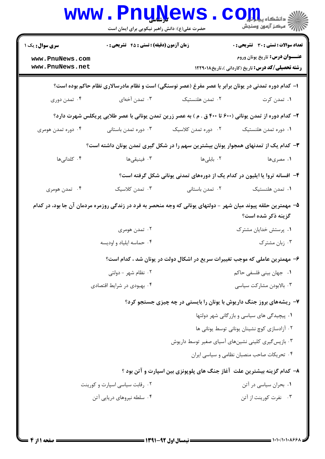|                                                                                                                                     | <b>LIIrinem</b><br>حضرت علی(ع): دانش راهبر نیکویی برای ایمان است           |                                                                                                      | د دانشگاه پ <b>یا ب<sup>ه</sup>ا</b><br>رِ آرمون وسنڊش                                      |  |  |
|-------------------------------------------------------------------------------------------------------------------------------------|----------------------------------------------------------------------------|------------------------------------------------------------------------------------------------------|---------------------------------------------------------------------------------------------|--|--|
| <b>سری سوال :</b> یک ۱                                                                                                              | <b>زمان آزمون (دقیقه) : تستی : 45 تشریحی : 0</b>                           |                                                                                                      | <b>تعداد سوالات : تستی : 30 ٪ تشریحی : 0</b>                                                |  |  |
| www.PnuNews.com<br>www.PnuNews.net                                                                                                  |                                                                            |                                                                                                      | <b>عنـــوان درس:</b> تاريخ يونان وروم<br>رشته تحصیلی/کد درس: تاریخ (کاردانی )،تاریخ ۱۲۲۹۰۱۸ |  |  |
|                                                                                                                                     |                                                                            | ا– کدام دوره تمدنی در یونان برابر با عصر مفرغ (عصر نوسنگی) است و نظام مادرسالاری نظام حاکم بوده است؟ |                                                                                             |  |  |
| ۰۴ تمدن دوری                                                                                                                        | ۰۳ تمدن آخهای                                                              | ۰۲ تمدن هلنستیک                                                                                      | ۰۱ تمدن کرت                                                                                 |  |  |
| ۲- کدام دوره از تمدن یونانی (۶۰۰ تا ۴۰۰ ق . م ) به عصر زرین تمدن یونانی با عصر طلایی پریکلس شهرت دارد؟                              |                                                                            |                                                                                                      |                                                                                             |  |  |
| ۰۴ دوره تمدن هومری                                                                                                                  | ۰۳ دوره تمدن باستانی                                                       | ۰۲ دوره تمدن کلاسیک                                                                                  | ٠١ دوره تمدن هلنستيک                                                                        |  |  |
| ۳- کدام یک از تمدنهای همجوار یونان بیشترین سهم را در شکل گیری تمدن یونان داشته است؟                                                 |                                                                            |                                                                                                      |                                                                                             |  |  |
| ۰۴ کلدانیها                                                                                                                         | ۰۳ فینیقیها                                                                | ۲. بابل <sub>ی</sub> ها                                                                              | ۰۱ مصریها                                                                                   |  |  |
|                                                                                                                                     | ۴- افسانه تروا یا ایلیون در کدام یک از دورههای تمدنی یونانی شکل گرفته است؟ |                                                                                                      |                                                                                             |  |  |
| ۰۴ تمدن هومری                                                                                                                       | ۰۳ تمدن کلاسیک                                                             | ۰۲ تمدن باستانی                                                                                      | ٠١ تمدن هلنستيک                                                                             |  |  |
| ۵– مهمترین حلقه پیوند میان شهر - دولتهای یونانی که وجه منحصر به فرد در زندگی روزمره مردمان آن جا بود، در کدام<br>گزینه ذکر شده است؟ |                                                                            |                                                                                                      |                                                                                             |  |  |
|                                                                                                                                     | ۰۲ تمدن هومری                                                              |                                                                                                      | ۰۱ پرستش خدایان مشترک                                                                       |  |  |
|                                                                                                                                     | ۰۴ حماسه ايلياد و اوديسه                                                   |                                                                                                      | ۰۳ زبان مشترک                                                                               |  |  |
|                                                                                                                                     |                                                                            | ۶– مهمترین عاملی که موجب تغییرات سریع در اشکال دولت در یونان شد ، کدام است؟                          |                                                                                             |  |  |
|                                                                                                                                     | ۰۲ نظام شهر - دولتي                                                        |                                                                                                      | ۰۱   جهان بيني فلسفي حاكم                                                                   |  |  |
|                                                                                                                                     | ۰۴ بهبودی در شرایط اقتصادی                                                 |                                                                                                      | ۰۳ بالابودن مشاركت سياسي                                                                    |  |  |
| ۷- ریشههای بروز جنگ داریوش با یونان را بایستی در چه چیزی جستجو کرد؟                                                                 |                                                                            |                                                                                                      |                                                                                             |  |  |
|                                                                                                                                     |                                                                            |                                                                                                      | ۰۱ پیچیدگی های سیاسی و بازرگانی شهر دولتها                                                  |  |  |
|                                                                                                                                     |                                                                            |                                                                                                      | ٠٢ آزادسازي كوچ نشينان يوناني توسط يوناني ها                                                |  |  |
| ۰۳ بازپس گیری کلینی نشینهای آسیای صغیر توسط داریوش                                                                                  |                                                                            |                                                                                                      |                                                                                             |  |  |
|                                                                                                                                     |                                                                            |                                                                                                      | ۰۴ تحریکات صاحب منصبان نظامی و سیاسی ایران                                                  |  |  |
| ۸– کدام گزینه بیشترین علت آغاز جنگ های پلوپونزی بین اسپارت و آتن بود ؟                                                              |                                                                            |                                                                                                      |                                                                                             |  |  |
|                                                                                                                                     | ۰۲ رقابت سیاسی اسپارت و کورینت                                             |                                                                                                      | ۰۱ بحران سیاسی در آتن                                                                       |  |  |
|                                                                                                                                     | ۰۴ سلطه نیروهای دریایی آتن                                                 |                                                                                                      | ۰۳ نفرت کورینت از آتن                                                                       |  |  |
|                                                                                                                                     |                                                                            |                                                                                                      |                                                                                             |  |  |
|                                                                                                                                     |                                                                            |                                                                                                      |                                                                                             |  |  |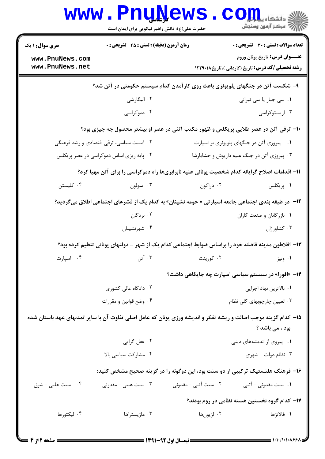|                                                                                                | <b>www.PnuNews</b><br>حضرت علی(ع): دانش راهبر نیکویی برای ایمان است                                            |                      | أأأأأ مركز آزمون وسنجش                                                                            |  |  |
|------------------------------------------------------------------------------------------------|----------------------------------------------------------------------------------------------------------------|----------------------|---------------------------------------------------------------------------------------------------|--|--|
| <b>سری سوال :</b> ۱ یک                                                                         | <b>زمان آزمون (دقیقه) : تستی : 45 گشریحی : 0</b>                                                               |                      | <b>تعداد سوالات : تستي : 30 ٪ تشريحي : 0</b>                                                      |  |  |
| www.PnuNews.com<br>www.PnuNews.net                                                             |                                                                                                                |                      | <b>عنـــوان درس:</b> تاريخ يونان وروم<br><b>رشته تحصیلی/کد درس:</b> تاریخ (کاردانی )،تاریخ۱۲۲۹۰۱۸ |  |  |
| ۹– شکست آتن در جنگهای پلوپونزی باعث روی کار آمدن کدام سیستم حکومتی در آتن شد؟                  |                                                                                                                |                      |                                                                                                   |  |  |
|                                                                                                | ۰۲ الیگارشی                                                                                                    |                      | ۰۱ سی جبار یا سی تیرانی                                                                           |  |  |
|                                                                                                | ۰۴ دموکراسی                                                                                                    |                      | ۰۳ اریستوکراسی                                                                                    |  |  |
|                                                                                                | ∙ا− ترقی آتن در عصر طلایی پریکلس و ظهور مکتب آتنی در عصر او بیشتر محصول چه چیزی بود؟                           |                      |                                                                                                   |  |  |
|                                                                                                | ۰۲ امنیت سیاسی، ترقی اقتصادی و رشد فرهنگی                                                                      |                      | ٠١ پيروزي آتن در جنگهاي پلوپونزي بر اسپارت                                                        |  |  |
|                                                                                                | ۰۴ پایه ریزی اساس دموکراسی در عصر پریکلس                                                                       |                      | ۴. پیروزی آتن در جنگ علیه داریوش و خشایارشا                                                       |  |  |
| 11– اقدامات اصلاح گرایانه کدام شخصیت یونانی علیه نابرابریها راه دموکراسی را برای آتن مهیا کرد؟ |                                                                                                                |                      |                                                                                                   |  |  |
| ۰۴ کلیستن                                                                                      | ۰۳ سولون                                                                                                       | ۰۲ دراکون            | ۰۱. پریکلس                                                                                        |  |  |
|                                                                                                | ۱۲−   در طبقه بندی اجتماعی جامعه اسپار تی « حومه نشینان» به کدام یک از قشرهای اجتماعی اطلاق میگردید؟           |                      |                                                                                                   |  |  |
|                                                                                                | ۰۲ بردگان                                                                                                      |                      | ۰۱ بازرگانان و صنعت کاران                                                                         |  |  |
|                                                                                                | ۰۴ شهرنشينان                                                                                                   |                      | ۰۳ کشاورزان                                                                                       |  |  |
|                                                                                                | ۱۳- افلاطون مدینه فاضله خود را براساس ضوابط اجتماعی کدام یک از شهر - دولتهای یونانی تنظیم کرده بود؟            |                      |                                                                                                   |  |  |
| ۰۴ اسپارت                                                                                      | ۰۳ آتن                                                                                                         | ۰۲ کورینت            | ۰۱ ونيز                                                                                           |  |  |
|                                                                                                |                                                                                                                |                      | ۱۴– «افورا» در سیستم سیاسی اسپارت چه جایگاهی داشت؟                                                |  |  |
|                                                                                                | ۰۲ دادگاه عالی کشوری                                                                                           |                      | ٠١. بالاترين نهاد اجرايي                                                                          |  |  |
|                                                                                                | ۰۴ وضع قوانين و مقررات                                                                                         |                      | ۰۳ تعیین چارچوبهای کلی نظام                                                                       |  |  |
|                                                                                                | ۱۵– کدام گزینه موجب اصالت و ریشه تفکر و اندیشه ورزی یونان که عامل اصلی تفاوت آن با سایر تمدنهای عهد باستان شده |                      | بود ، می باشد ؟                                                                                   |  |  |
|                                                                                                | ۰۲ عقل گرايي                                                                                                   |                      | ۰۱ پیروی از اندیشههای دینی                                                                        |  |  |
|                                                                                                | ۰۴ مشاركت سياسي بالا                                                                                           |                      | ۰۳ نظام دولت - شهری                                                                               |  |  |
|                                                                                                | ۱۶– فرهنگ هلنستیک ترکیبی از دو سنت بود، این دوگونه را در گزینه صحیح مشخص کنید:                                 |                      |                                                                                                   |  |  |
| ۰۴ سنت هلنی - شرق                                                                              | ۰۳ سنت هلنی - مقدونی                                                                                           | ۰۲ سنت آتنی - مقدونی | ۰۱ سنت مقدونی - آتنی                                                                              |  |  |
|                                                                                                |                                                                                                                |                      | ۱۷– کدام گروه نخستین هسته نظامی در روم بودند؟                                                     |  |  |
| ۰۴ لیکتورها                                                                                    | ۰۳ ماژیستراها                                                                                                  | ۰۲ لژيون ها          | ١. فالانژها                                                                                       |  |  |
|                                                                                                |                                                                                                                |                      |                                                                                                   |  |  |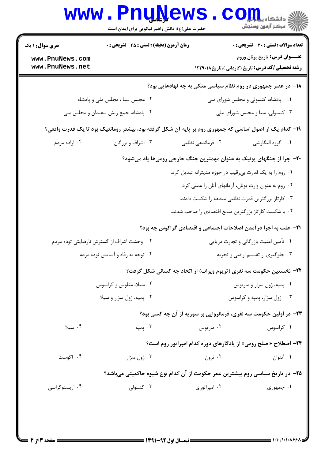|                                                                      | <b>www.PnuNews</b><br>حضرت علی(ع): دانش راهبر نیکویی برای ایمان است |                                                                                                        | تج دانشگاه پ <b>یابانی</b><br>تج<br>ے<br>اسکر آزمون وسنجش                                  |  |
|----------------------------------------------------------------------|---------------------------------------------------------------------|--------------------------------------------------------------------------------------------------------|--------------------------------------------------------------------------------------------|--|
| <b>سری سوال : ۱ یک</b>                                               | زمان آزمون (دقیقه) : تستی : 45 گتشریحی : 0                          |                                                                                                        | <b>تعداد سوالات : تستی : 30 ٪ تشریحی : 0</b>                                               |  |
| www.PnuNews.com<br>www.PnuNews.net                                   |                                                                     |                                                                                                        | <b>عنـــوان درس:</b> تاريخ يونان وروم<br>رشته تحصیلی/کد درس: تاریخ (کاردانی )،تاریخ۱۲۲۹۰۱۸ |  |
|                                                                      |                                                                     | <b>۱۸</b> - در عصر جمهوری در روم نظام سیاسی متکی به چه نهادهایی بود؟                                   |                                                                                            |  |
|                                                                      | ۰۲ مجلس سنا ، مجلس ملی و پادشاه                                     |                                                                                                        | ۰۱ پادشاه، کنسولی و مجلس شورای ملی                                                         |  |
|                                                                      | ۰۴ پادشاه، جمع ریش سفیدان و مجلس ملی                                |                                                                                                        | ۰۳ کنسولی، سنا و مجلس شورای ملی                                                            |  |
|                                                                      |                                                                     | ۱۹- کدام یک از اصول اساسی که جمهوری روم بر پایه آن شکل گرفته بود، بیشتر رومانتیک بود تا یک قدرت واقعی؟ |                                                                                            |  |
| ۰۴ اراده مردم                                                        | ۰۳ اشراف و بزرگان                                                   | ۰۲ فرماندهی نظامی                                                                                      | ٠١. گروه اليگارشي                                                                          |  |
| ۲۰– چرا از جنگهای پونیک به عنوان مهمترین جنگ خارجی رومیها یاد میشود؟ |                                                                     |                                                                                                        |                                                                                            |  |
|                                                                      |                                                                     | ۰۱ روم را به یک قدرت بیرقیب در حوزه مدیترانه تبدیل کرد.                                                |                                                                                            |  |
|                                                                      |                                                                     | ۰۲ روم به عنوان وارث یونان، آرمانهای آنان را عملی کرد.                                                 |                                                                                            |  |
|                                                                      |                                                                     | ۰۳ کارتاژ بزرگترین قدرت نظامی منطقه را شکست دادند.                                                     |                                                                                            |  |
|                                                                      |                                                                     | ۰۴ با شکست کارتاژ بزرگترین منابع اقتصادی را صاحب شدند.                                                 |                                                                                            |  |
|                                                                      |                                                                     | <b>۲۱</b> - علت به اجرا در آمدن اصلاحات اجتماعی و اقتصادی گراکوس چه بود؟                               |                                                                                            |  |
|                                                                      | ۲. وحشت اشراف از گسترش نارضایتی توده مردم                           | ۰۱ تأمین امنیت بازرگانی و تجارت دریایی                                                                 |                                                                                            |  |
|                                                                      | ۰۴ توجه به رفاه و آسایش توده مردم                                   | ۰۳ جلوگیری از تقسیم اراضی و تجزیه                                                                      |                                                                                            |  |
|                                                                      |                                                                     | ۲۲- نخستین حکومت سه نفری (تریوم ویرات) از اتحاد چه کسانی شکل گرفت؟                                     |                                                                                            |  |
|                                                                      | ۰۲ سیلا، متلوس و کراسوس                                             |                                                                                                        | ٠١. پمپه، ژول سزار و ماريوس                                                                |  |
|                                                                      | ۰۴ پمپه، ژول سزار و سيلا                                            | ۰۳ زول سزار، پمپه و کراسوس                                                                             |                                                                                            |  |
|                                                                      |                                                                     | <b>۲۳</b> - در اولین حکومت سه نفری، فرمانروایی بر سوریه از آن چه کسی بود؟                              |                                                                                            |  |
| ۰۴ سیلا                                                              | ۰۳ یمیه                                                             | ۰۲ ماریوس                                                                                              | ۰۱ کراسوس                                                                                  |  |
|                                                                      |                                                                     | <b>34- اصطلاح « صلح رومی» از یادگارهای دوره کدام امپراتور روم است؟</b>                                 |                                                                                            |  |
| ۰۴ اگوست                                                             | ۰۳ ژول سزار                                                         | ۰۲ نرون                                                                                                | ۰۱ آنتوان                                                                                  |  |
|                                                                      |                                                                     | ۲۵– در تاریخ سیاسی روم بیشترین عمر حکومت از آن کدام نوع شیوه حاکمیتی میباشد؟                           |                                                                                            |  |
| ۰۴ اریستوکراسی                                                       | ۰۳ کنسولی                                                           | ۰۲ امپراتوری                                                                                           | ۱. جمهوری                                                                                  |  |
|                                                                      |                                                                     |                                                                                                        |                                                                                            |  |
|                                                                      |                                                                     |                                                                                                        |                                                                                            |  |
|                                                                      |                                                                     |                                                                                                        |                                                                                            |  |